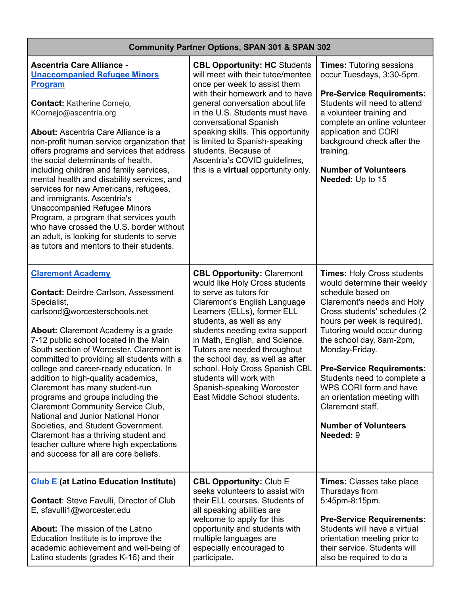## **Community Partner Options, SPAN 301 & SPAN 302**

| <b>Ascentria Care Alliance -</b><br><b>Unaccompanied Refugee Minors</b><br><b>Program</b><br><b>Contact: Katherine Cornejo,</b><br>KCornejo@ascentria.org<br><b>About: Ascentria Care Alliance is a</b><br>non-profit human service organization that<br>offers programs and services that address<br>the social determinants of health,<br>including children and family services,<br>mental health and disability services, and<br>services for new Americans, refugees,<br>and immigrants. Ascentria's<br><b>Unaccompanied Refugee Minors</b><br>Program, a program that services youth<br>who have crossed the U.S. border without<br>an adult, is looking for students to serve<br>as tutors and mentors to their students. | <b>CBL Opportunity: HC Students</b><br>will meet with their tutee/mentee<br>once per week to assist them<br>with their homework and to have<br>general conversation about life<br>in the U.S. Students must have<br>conversational Spanish<br>speaking skills. This opportunity<br>is limited to Spanish-speaking<br>students. Because of<br>Ascentria's COVID guidelines,<br>this is a <b>virtual</b> opportunity only.                                    | <b>Times: Tutoring sessions</b><br>occur Tuesdays, 3:30-5pm.<br><b>Pre-Service Requirements:</b><br>Students will need to attend<br>a volunteer training and<br>complete an online volunteer<br>application and CORI<br>background check after the<br>training.<br><b>Number of Volunteers</b><br>Needed: Up to 15                                                                                                                                             |
|----------------------------------------------------------------------------------------------------------------------------------------------------------------------------------------------------------------------------------------------------------------------------------------------------------------------------------------------------------------------------------------------------------------------------------------------------------------------------------------------------------------------------------------------------------------------------------------------------------------------------------------------------------------------------------------------------------------------------------|-------------------------------------------------------------------------------------------------------------------------------------------------------------------------------------------------------------------------------------------------------------------------------------------------------------------------------------------------------------------------------------------------------------------------------------------------------------|----------------------------------------------------------------------------------------------------------------------------------------------------------------------------------------------------------------------------------------------------------------------------------------------------------------------------------------------------------------------------------------------------------------------------------------------------------------|
| <b>Claremont Academy</b><br><b>Contact: Deirdre Carlson, Assessment</b><br>Specialist,<br>carlsond@worcesterschools.net<br>About: Claremont Academy is a grade<br>7-12 public school located in the Main<br>South section of Worcester. Claremont is<br>committed to providing all students with a<br>college and career-ready education. In<br>addition to high-quality academics,<br>Claremont has many student-run<br>programs and groups including the<br><b>Claremont Community Service Club,</b><br>National and Junior National Honor<br>Societies, and Student Government.<br>Claremont has a thriving student and<br>teacher culture where high expectations<br>and success for all are core beliefs.                   | <b>CBL Opportunity: Claremont</b><br>would like Holy Cross students<br>to serve as tutors for<br>Claremont's English Language<br>Learners (ELLs), former ELL<br>students, as well as any<br>students needing extra support<br>in Math, English, and Science.<br>Tutors are needed throughout<br>the school day, as well as after<br>school. Holy Cross Spanish CBL<br>students will work with<br>Spanish-speaking Worcester<br>East Middle School students. | <b>Times: Holy Cross students</b><br>would determine their weekly<br>schedule based on<br>Claremont's needs and Holy<br>Cross students' schedules (2)<br>hours per week is required).<br>Tutoring would occur during<br>the school day, 8am-2pm,<br>Monday-Friday.<br><b>Pre-Service Requirements:</b><br>Students need to complete a<br>WPS CORI form and have<br>an orientation meeting with<br>Claremont staff.<br><b>Number of Volunteers</b><br>Needed: 9 |
| <b>Club E</b> (at Latino Education Institute)<br><b>Contact: Steve Favulli, Director of Club</b><br>E, sfavulli1@worcester.edu<br><b>About:</b> The mission of the Latino<br>Education Institute is to improve the<br>academic achievement and well-being of<br>Latino students (grades K-16) and their                                                                                                                                                                                                                                                                                                                                                                                                                          | <b>CBL Opportunity: Club E</b><br>seeks volunteers to assist with<br>their ELL courses. Students of<br>all speaking abilities are<br>welcome to apply for this<br>opportunity and students with<br>multiple languages are<br>especially encouraged to<br>participate.                                                                                                                                                                                       | <b>Times: Classes take place</b><br>Thursdays from<br>5:45pm-8:15pm.<br><b>Pre-Service Requirements:</b><br>Students will have a virtual<br>orientation meeting prior to<br>their service. Students will<br>also be required to do a                                                                                                                                                                                                                           |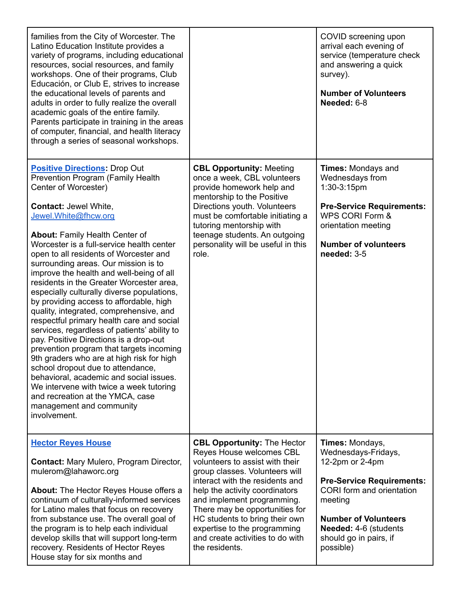| families from the City of Worcester. The<br>Latino Education Institute provides a<br>variety of programs, including educational<br>resources, social resources, and family<br>workshops. One of their programs, Club<br>Educación, or Club E, strives to increase<br>the educational levels of parents and<br>adults in order to fully realize the overall<br>academic goals of the entire family.<br>Parents participate in training in the areas<br>of computer, financial, and health literacy<br>through a series of seasonal workshops.                                                                                                                                                                                                                                                                                                                                                                                                                                                              |                                                                                                                                                                                                                                                                                                                                                                                                  | COVID screening upon<br>arrival each evening of<br>service (temperature check<br>and answering a quick<br>survey).<br><b>Number of Volunteers</b><br>Needed: 6-8                                                                     |
|-----------------------------------------------------------------------------------------------------------------------------------------------------------------------------------------------------------------------------------------------------------------------------------------------------------------------------------------------------------------------------------------------------------------------------------------------------------------------------------------------------------------------------------------------------------------------------------------------------------------------------------------------------------------------------------------------------------------------------------------------------------------------------------------------------------------------------------------------------------------------------------------------------------------------------------------------------------------------------------------------------------|--------------------------------------------------------------------------------------------------------------------------------------------------------------------------------------------------------------------------------------------------------------------------------------------------------------------------------------------------------------------------------------------------|--------------------------------------------------------------------------------------------------------------------------------------------------------------------------------------------------------------------------------------|
| <b>Positive Directions: Drop Out</b><br><b>Prevention Program (Family Health</b><br>Center of Worcester)<br><b>Contact: Jewel White,</b><br>Jewel. White@fhcw.org<br>About: Family Health Center of<br>Worcester is a full-service health center<br>open to all residents of Worcester and<br>surrounding areas. Our mission is to<br>improve the health and well-being of all<br>residents in the Greater Worcester area,<br>especially culturally diverse populations,<br>by providing access to affordable, high<br>quality, integrated, comprehensive, and<br>respectful primary health care and social<br>services, regardless of patients' ability to<br>pay. Positive Directions is a drop-out<br>prevention program that targets incoming<br>9th graders who are at high risk for high<br>school dropout due to attendance,<br>behavioral, academic and social issues.<br>We intervene with twice a week tutoring<br>and recreation at the YMCA, case<br>management and community<br>involvement. | <b>CBL Opportunity: Meeting</b><br>once a week, CBL volunteers<br>provide homework help and<br>mentorship to the Positive<br>Directions youth. Volunteers<br>must be comfortable initiating a<br>tutoring mentorship with<br>teenage students. An outgoing<br>personality will be useful in this<br>role.                                                                                        | <b>Times: Mondays and</b><br>Wednesdays from<br>1:30-3:15pm<br><b>Pre-Service Requirements:</b><br>WPS CORI Form &<br>orientation meeting<br><b>Number of volunteers</b><br>needed: 3-5                                              |
| <b>Hector Reyes House</b><br><b>Contact: Mary Mulero, Program Director,</b><br>mulerom@lahaworc.org<br><b>About:</b> The Hector Reyes House offers a<br>continuum of culturally-informed services<br>for Latino males that focus on recovery<br>from substance use. The overall goal of<br>the program is to help each individual<br>develop skills that will support long-term<br>recovery. Residents of Hector Reyes<br>House stay for six months and                                                                                                                                                                                                                                                                                                                                                                                                                                                                                                                                                   | <b>CBL Opportunity: The Hector</b><br>Reyes House welcomes CBL<br>volunteers to assist with their<br>group classes. Volunteers will<br>interact with the residents and<br>help the activity coordinators<br>and implement programming.<br>There may be opportunities for<br>HC students to bring their own<br>expertise to the programming<br>and create activities to do with<br>the residents. | Times: Mondays,<br>Wednesdays-Fridays,<br>12-2pm or 2-4pm<br><b>Pre-Service Requirements:</b><br>CORI form and orientation<br>meeting<br><b>Number of Volunteers</b><br>Needed: 4-6 (students<br>should go in pairs, if<br>possible) |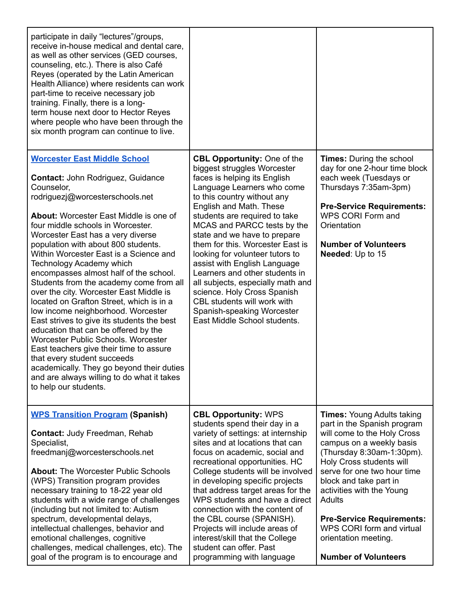| participate in daily "lectures"/groups,<br>receive in-house medical and dental care,<br>as well as other services (GED courses,<br>counseling, etc.). There is also Café<br>Reyes (operated by the Latin American<br>Health Alliance) where residents can work<br>part-time to receive necessary job<br>training. Finally, there is a long-<br>term house next door to Hector Reyes<br>where people who have been through the<br>six month program can continue to live.                                                                                                                                                                                                                                                                                                                                                                                                                                                     |                                                                                                                                                                                                                                                                                                                                                                                                                                                                                                                                                                                                     |                                                                                                                                                                                                                                                                                                                                                                                                              |
|------------------------------------------------------------------------------------------------------------------------------------------------------------------------------------------------------------------------------------------------------------------------------------------------------------------------------------------------------------------------------------------------------------------------------------------------------------------------------------------------------------------------------------------------------------------------------------------------------------------------------------------------------------------------------------------------------------------------------------------------------------------------------------------------------------------------------------------------------------------------------------------------------------------------------|-----------------------------------------------------------------------------------------------------------------------------------------------------------------------------------------------------------------------------------------------------------------------------------------------------------------------------------------------------------------------------------------------------------------------------------------------------------------------------------------------------------------------------------------------------------------------------------------------------|--------------------------------------------------------------------------------------------------------------------------------------------------------------------------------------------------------------------------------------------------------------------------------------------------------------------------------------------------------------------------------------------------------------|
| <b>Worcester East Middle School</b><br><b>Contact: John Rodriguez, Guidance</b><br>Counselor,<br>rodriguezj@worcesterschools.net<br><b>About:</b> Worcester East Middle is one of<br>four middle schools in Worcester.<br>Worcester East has a very diverse<br>population with about 800 students.<br>Within Worcester East is a Science and<br><b>Technology Academy which</b><br>encompasses almost half of the school.<br>Students from the academy come from all<br>over the city. Worcester East Middle is<br>located on Grafton Street, which is in a<br>low income neighborhood. Worcester<br>East strives to give its students the best<br>education that can be offered by the<br>Worcester Public Schools. Worcester<br>East teachers give their time to assure<br>that every student succeeds<br>academically. They go beyond their duties<br>and are always willing to do what it takes<br>to help our students. | <b>CBL Opportunity: One of the</b><br>biggest struggles Worcester<br>faces is helping its English<br>Language Learners who come<br>to this country without any<br>English and Math. These<br>students are required to take<br>MCAS and PARCC tests by the<br>state and we have to prepare<br>them for this. Worcester East is<br>looking for volunteer tutors to<br>assist with English Language<br>Learners and other students in<br>all subjects, especially math and<br>science. Holy Cross Spanish<br>CBL students will work with<br>Spanish-speaking Worcester<br>East Middle School students. | <b>Times:</b> During the school<br>day for one 2-hour time block<br>each week (Tuesdays or<br>Thursdays 7:35am-3pm)<br><b>Pre-Service Requirements:</b><br>WPS CORI Form and<br>Orientation<br><b>Number of Volunteers</b><br>Needed: Up to 15                                                                                                                                                               |
| <b>WPS Transition Program (Spanish)</b><br><b>Contact: Judy Freedman, Rehab</b><br>Specialist,<br>freedmanj@worcesterschools.net<br><b>About: The Worcester Public Schools</b><br>(WPS) Transition program provides<br>necessary training to 18-22 year old<br>students with a wide range of challenges<br>(including but not limited to: Autism<br>spectrum, developmental delays,<br>intellectual challenges, behavior and<br>emotional challenges, cognitive<br>challenges, medical challenges, etc). The<br>goal of the program is to encourage and                                                                                                                                                                                                                                                                                                                                                                      | <b>CBL Opportunity: WPS</b><br>students spend their day in a<br>variety of settings: at internship<br>sites and at locations that can<br>focus on academic, social and<br>recreational opportunities. HC<br>College students will be involved<br>in developing specific projects<br>that address target areas for the<br>WPS students and have a direct<br>connection with the content of<br>the CBL course (SPANISH).<br>Projects will include areas of<br>interest/skill that the College<br>student can offer. Past<br>programming with language                                                 | <b>Times: Young Adults taking</b><br>part in the Spanish program<br>will come to the Holy Cross<br>campus on a weekly basis<br>(Thursday 8:30am-1:30pm).<br>Holy Cross students will<br>serve for one two hour time<br>block and take part in<br>activities with the Young<br>Adults<br><b>Pre-Service Requirements:</b><br>WPS CORI form and virtual<br>orientation meeting.<br><b>Number of Volunteers</b> |